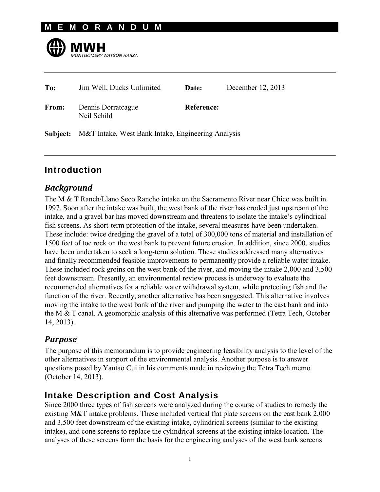#### **M E M O R A N D U M**



| To:          | Jim Well, Ducks Unlimited                                          | Date:      | December 12, 2013 |
|--------------|--------------------------------------------------------------------|------------|-------------------|
| <b>From:</b> | Dennis Dorratcague<br>Neil Schild                                  | Reference: |                   |
|              | <b>Subject:</b> M&T Intake, West Bank Intake, Engineering Analysis |            |                   |

## **Introduction**

#### *Background*

The M & T Ranch/Llano Seco Rancho intake on the Sacramento River near Chico was built in 1997. Soon after the intake was built, the west bank of the river has eroded just upstream of the intake, and a gravel bar has moved downstream and threatens to isolate the intake's cylindrical fish screens. As short-term protection of the intake, several measures have been undertaken. These include: twice dredging the gravel of a total of 300,000 tons of material and installation of 1500 feet of toe rock on the west bank to prevent future erosion. In addition, since 2000, studies have been undertaken to seek a long-term solution. These studies addressed many alternatives and finally recommended feasible improvements to permanently provide a reliable water intake. These included rock groins on the west bank of the river, and moving the intake 2,000 and 3,500 feet downstream. Presently, an environmental review process is underway to evaluate the recommended alternatives for a reliable water withdrawal system, while protecting fish and the function of the river. Recently, another alternative has been suggested. This alternative involves moving the intake to the west bank of the river and pumping the water to the east bank and into the M & T canal. A geomorphic analysis of this alternative was performed (Tetra Tech, October 14, 2013).

## *Purpose*

The purpose of this memorandum is to provide engineering feasibility analysis to the level of the other alternatives in support of the environmental analysis. Another purpose is to answer questions posed by Yantao Cui in his comments made in reviewing the Tetra Tech memo (October 14, 2013).

# **Intake Description and Cost Analysis**

Since 2000 three types of fish screens were analyzed during the course of studies to remedy the existing M&T intake problems. These included vertical flat plate screens on the east bank 2,000 and 3,500 feet downstream of the existing intake, cylindrical screens (similar to the existing intake), and cone screens to replace the cylindrical screens at the existing intake location. The analyses of these screens form the basis for the engineering analyses of the west bank screens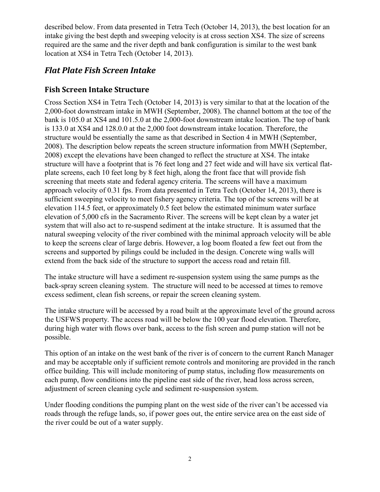described below. From data presented in Tetra Tech (October 14, 2013), the best location for an intake giving the best depth and sweeping velocity is at cross section XS4. The size of screens required are the same and the river depth and bank configuration is similar to the west bank location at XS4 in Tetra Tech (October 14, 2013).

## *Flat Plate Fish Screen Intake*

#### **Fish Screen Intake Structure**

Cross Section XS4 in Tetra Tech (October 14, 2013) is very similar to that at the location of the 2,000-foot downstream intake in MWH (September, 2008). The channel bottom at the toe of the bank is 105.0 at XS4 and 101.5.0 at the 2,000-foot downstream intake location. The top of bank is 133.0 at XS4 and 128.0.0 at the 2,000 foot downstream intake location. Therefore, the structure would be essentially the same as that described in Section 4 in MWH (September, 2008). The description below repeats the screen structure information from MWH (September, 2008) except the elevations have been changed to reflect the structure at XS4. The intake structure will have a footprint that is 76 feet long and 27 feet wide and will have six vertical flatplate screens, each 10 feet long by 8 feet high, along the front face that will provide fish screening that meets state and federal agency criteria. The screens will have a maximum approach velocity of 0.31 fps. From data presented in Tetra Tech (October 14, 2013), there is sufficient sweeping velocity to meet fishery agency criteria. The top of the screens will be at elevation 114.5 feet, or approximately 0.5 feet below the estimated minimum water surface elevation of 5,000 cfs in the Sacramento River. The screens will be kept clean by a water jet system that will also act to re-suspend sediment at the intake structure. It is assumed that the natural sweeping velocity of the river combined with the minimal approach velocity will be able to keep the screens clear of large debris. However, a log boom floated a few feet out from the screens and supported by pilings could be included in the design. Concrete wing walls will extend from the back side of the structure to support the access road and retain fill.

The intake structure will have a sediment re-suspension system using the same pumps as the back-spray screen cleaning system. The structure will need to be accessed at times to remove excess sediment, clean fish screens, or repair the screen cleaning system.

The intake structure will be accessed by a road built at the approximate level of the ground across the USFWS property. The access road will be below the 100 year flood elevation. Therefore, during high water with flows over bank, access to the fish screen and pump station will not be possible.

This option of an intake on the west bank of the river is of concern to the current Ranch Manager and may be acceptable only if sufficient remote controls and monitoring are provided in the ranch office building. This will include monitoring of pump status, including flow measurements on each pump, flow conditions into the pipeline east side of the river, head loss across screen, adjustment of screen cleaning cycle and sediment re-suspension system.

Under flooding conditions the pumping plant on the west side of the river can't be accessed via roads through the refuge lands, so, if power goes out, the entire service area on the east side of the river could be out of a water supply.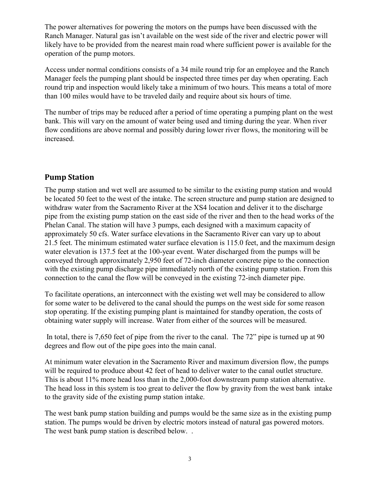The power alternatives for powering the motors on the pumps have been discussed with the Ranch Manager. Natural gas isn't available on the west side of the river and electric power will likely have to be provided from the nearest main road where sufficient power is available for the operation of the pump motors.

Access under normal conditions consists of a 34 mile round trip for an employee and the Ranch Manager feels the pumping plant should be inspected three times per day when operating. Each round trip and inspection would likely take a minimum of two hours. This means a total of more than 100 miles would have to be traveled daily and require about six hours of time.

The number of trips may be reduced after a period of time operating a pumping plant on the west bank. This will vary on the amount of water being used and timing during the year. When river flow conditions are above normal and possibly during lower river flows, the monitoring will be increased.

#### **Pump Station**

The pump station and wet well are assumed to be similar to the existing pump station and would be located 50 feet to the west of the intake. The screen structure and pump station are designed to withdraw water from the Sacramento River at the XS4 location and deliver it to the discharge pipe from the existing pump station on the east side of the river and then to the head works of the Phelan Canal. The station will have 3 pumps, each designed with a maximum capacity of approximately 50 cfs. Water surface elevations in the Sacramento River can vary up to about 21.5 feet. The minimum estimated water surface elevation is 115.0 feet, and the maximum design water elevation is 137.5 feet at the 100-year event. Water discharged from the pumps will be conveyed through approximately 2,950 feet of 72-inch diameter concrete pipe to the connection with the existing pump discharge pipe immediately north of the existing pump station. From this connection to the canal the flow will be conveyed in the existing 72-inch diameter pipe.

To facilitate operations, an interconnect with the existing wet well may be considered to allow for some water to be delivered to the canal should the pumps on the west side for some reason stop operating. If the existing pumping plant is maintained for standby operation, the costs of obtaining water supply will increase. Water from either of the sources will be measured.

In total, there is 7,650 feet of pipe from the river to the canal. The 72" pipe is turned up at 90 degrees and flow out of the pipe goes into the main canal.

At minimum water elevation in the Sacramento River and maximum diversion flow, the pumps will be required to produce about 42 feet of head to deliver water to the canal outlet structure. This is about 11% more head loss than in the 2,000-foot downstream pump station alternative. The head loss in this system is too great to deliver the flow by gravity from the west bank intake to the gravity side of the existing pump station intake.

The west bank pump station building and pumps would be the same size as in the existing pump station. The pumps would be driven by electric motors instead of natural gas powered motors. The west bank pump station is described below. .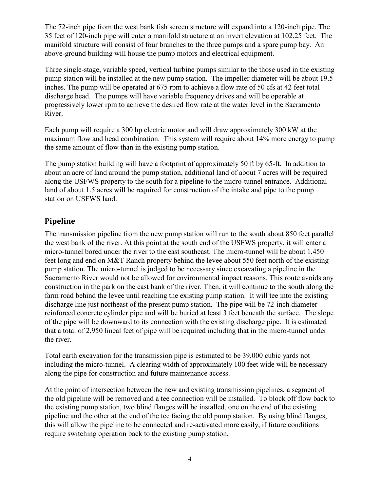The 72-inch pipe from the west bank fish screen structure will expand into a 120-inch pipe. The 35 feet of 120-inch pipe will enter a manifold structure at an invert elevation at 102.25 feet. The manifold structure will consist of four branches to the three pumps and a spare pump bay. An above-ground building will house the pump motors and electrical equipment.

Three single-stage, variable speed, vertical turbine pumps similar to the those used in the existing pump station will be installed at the new pump station. The impeller diameter will be about 19.5 inches. The pump will be operated at 675 rpm to achieve a flow rate of 50 cfs at 42 feet total discharge head. The pumps will have variable frequency drives and will be operable at progressively lower rpm to achieve the desired flow rate at the water level in the Sacramento River.

Each pump will require a 300 hp electric motor and will draw approximately 300 kW at the maximum flow and head combination. This system will require about 14% more energy to pump the same amount of flow than in the existing pump station.

The pump station building will have a footprint of approximately 50 ft by 65-ft. In addition to about an acre of land around the pump station, additional land of about 7 acres will be required along the USFWS property to the south for a pipeline to the micro-tunnel entrance. Additional land of about 1.5 acres will be required for construction of the intake and pipe to the pump station on USFWS land.

#### **Pipeline**

The transmission pipeline from the new pump station will run to the south about 850 feet parallel the west bank of the river. At this point at the south end of the USFWS property, it will enter a micro-tunnel bored under the river to the east southeast. The micro-tunnel will be about 1,450 feet long and end on M&T Ranch property behind the levee about 550 feet north of the existing pump station. The micro-tunnel is judged to be necessary since excavating a pipeline in the Sacramento River would not be allowed for environmental impact reasons. This route avoids any construction in the park on the east bank of the river. Then, it will continue to the south along the farm road behind the levee until reaching the existing pump station. It will tee into the existing discharge line just northeast of the present pump station. The pipe will be 72-inch diameter reinforced concrete cylinder pipe and will be buried at least 3 feet beneath the surface. The slope of the pipe will be downward to its connection with the existing discharge pipe. It is estimated that a total of 2,950 lineal feet of pipe will be required including that in the micro-tunnel under the river.

Total earth excavation for the transmission pipe is estimated to be 39,000 cubic yards not including the micro-tunnel. A clearing width of approximately 100 feet wide will be necessary along the pipe for construction and future maintenance access.

At the point of intersection between the new and existing transmission pipelines, a segment of the old pipeline will be removed and a tee connection will be installed. To block off flow back to the existing pump station, two blind flanges will be installed, one on the end of the existing pipeline and the other at the end of the tee facing the old pump station. By using blind flanges, this will allow the pipeline to be connected and re-activated more easily, if future conditions require switching operation back to the existing pump station.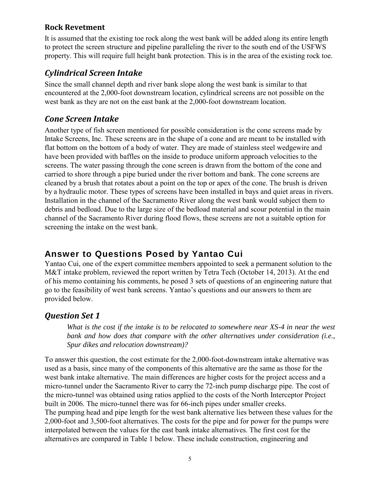#### **Rock Revetment**

It is assumed that the existing toe rock along the west bank will be added along its entire length to protect the screen structure and pipeline paralleling the river to the south end of the USFWS property. This will require full height bank protection. This is in the area of the existing rock toe.

## *Cylindrical Screen Intake*

Since the small channel depth and river bank slope along the west bank is similar to that encountered at the 2,000-foot downstream location, cylindrical screens are not possible on the west bank as they are not on the east bank at the 2,000-foot downstream location.

## *Cone Screen Intake*

Another type of fish screen mentioned for possible consideration is the cone screens made by Intake Screens, Inc. These screens are in the shape of a cone and are meant to be installed with flat bottom on the bottom of a body of water. They are made of stainless steel wedgewire and have been provided with baffles on the inside to produce uniform approach velocities to the screens. The water passing through the cone screen is drawn from the bottom of the cone and carried to shore through a pipe buried under the river bottom and bank. The cone screens are cleaned by a brush that rotates about a point on the top or apex of the cone. The brush is driven by a hydraulic motor. These types of screens have been installed in bays and quiet areas in rivers. Installation in the channel of the Sacramento River along the west bank would subject them to debris and bedload. Due to the large size of the bedload material and scour potential in the main channel of the Sacramento River during flood flows, these screens are not a suitable option for screening the intake on the west bank.

# **Answer to Questions Posed by Yantao Cui**

Yantao Cui, one of the expert committee members appointed to seek a permanent solution to the M&T intake problem, reviewed the report written by Tetra Tech (October 14, 2013). At the end of his memo containing his comments, he posed 3 sets of questions of an engineering nature that go to the feasibility of west bank screens. Yantao's questions and our answers to them are provided below.

## *Question Set 1*

*What is the cost if the intake is to be relocated to somewhere near XS-4 in near the west bank and how does that compare with the other alternatives under consideration (i.e., Spur dikes and relocation downstream)?* 

To answer this question, the cost estimate for the 2,000-foot-downstream intake alternative was used as a basis, since many of the components of this alternative are the same as those for the west bank intake alternative. The main differences are higher costs for the project access and a micro-tunnel under the Sacramento River to carry the 72-inch pump discharge pipe. The cost of the micro-tunnel was obtained using ratios applied to the costs of the North Interceptor Project built in 2006. The micro-tunnel there was for 66-inch pipes under smaller creeks. The pumping head and pipe length for the west bank alternative lies between these values for the 2,000-foot and 3,500-foot alternatives. The costs for the pipe and for power for the pumps were interpolated between the values for the east bank intake alternatives. The first cost for the alternatives are compared in Table 1 below. These include construction, engineering and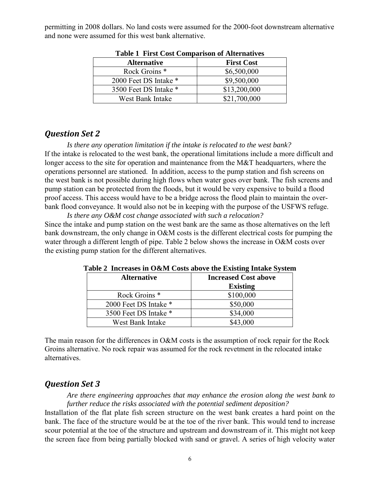permitting in 2008 dollars. No land costs were assumed for the 2000-foot downstream alternative and none were assumed for this west bank alternative.

| <b>Alternative</b>       | <b>First Cost</b> |  |  |
|--------------------------|-------------------|--|--|
| Rock Groins <sup>*</sup> | \$6,500,000       |  |  |
| 2000 Feet DS Intake *    | \$9,500,000       |  |  |
| 3500 Feet DS Intake *    | \$13,200,000      |  |  |
| West Bank Intake         | \$21,700,000      |  |  |

**Table 1 First Cost Comparison of Alternatives** 

#### *Question Set 2*

*Is there any operation limitation if the intake is relocated to the west bank?*  If the intake is relocated to the west bank, the operational limitations include a more difficult and longer access to the site for operation and maintenance from the M&T headquarters, where the operations personnel are stationed. In addition, access to the pump station and fish screens on the west bank is not possible during high flows when water goes over bank. The fish screens and pump station can be protected from the floods, but it would be very expensive to build a flood proof access. This access would have to be a bridge across the flood plain to maintain the overbank flood conveyance. It would also not be in keeping with the purpose of the USFWS refuge.

*Is there any O&M cost change associated with such a relocation?*  Since the intake and pump station on the west bank are the same as those alternatives on the left bank downstream, the only change in O&M costs is the different electrical costs for pumping the water through a different length of pipe. Table 2 below shows the increase in O&M costs over the existing pump station for the different alternatives.

| $\mathbf{u}$ and $\mathbf{u}$ and $\mathbf{u}$ and $\mathbf{u}$ and $\mathbf{u}$ and $\mathbf{v}$ and $\mathbf{u}$ and $\mathbf{u}$ and $\mathbf{u}$ and $\mathbf{u}$ |                             |  |  |
|-----------------------------------------------------------------------------------------------------------------------------------------------------------------------|-----------------------------|--|--|
| <b>Alternative</b>                                                                                                                                                    | <b>Increased Cost above</b> |  |  |
|                                                                                                                                                                       | <b>Existing</b>             |  |  |
| Rock Groins <sup>*</sup>                                                                                                                                              | \$100,000                   |  |  |
| 2000 Feet DS Intake *                                                                                                                                                 | \$50,000                    |  |  |
| 3500 Feet DS Intake *                                                                                                                                                 | \$34,000                    |  |  |
| West Bank Intake                                                                                                                                                      | \$43,000                    |  |  |

**Table 2 Increases in O&M Costs above the Existing Intake System** 

The main reason for the differences in O&M costs is the assumption of rock repair for the Rock Groins alternative. No rock repair was assumed for the rock revetment in the relocated intake alternatives.

## *Question Set 3*

*Are there engineering approaches that may enhance the erosion along the west bank to further reduce the risks associated with the potential sediment deposition?* 

Installation of the flat plate fish screen structure on the west bank creates a hard point on the bank. The face of the structure would be at the toe of the river bank. This would tend to increase scour potential at the toe of the structure and upstream and downstream of it. This might not keep the screen face from being partially blocked with sand or gravel. A series of high velocity water